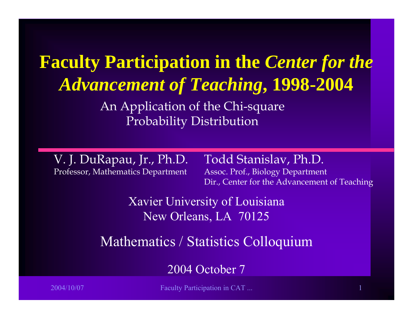**Faculty Participation in the** *Center for the Advancement of Teaching***, 1998-2004**

> An Application of the Chi-square Probability Distribution

V. J. DuRapau, Jr., Ph.D. Professor, Mathematics Department

Todd Stanislav, Ph.D. Assoc. P rof., Biology Dep artment

Dir., Center for the Advancement of Teaching

Xavier University of Louisiana New Orleans, LA 70125

Mathematics / Statistics Colloquium

2004 October 7

2004/10/07 Faculty Participation in CAT ... 1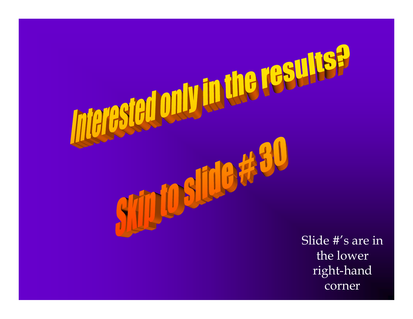

corner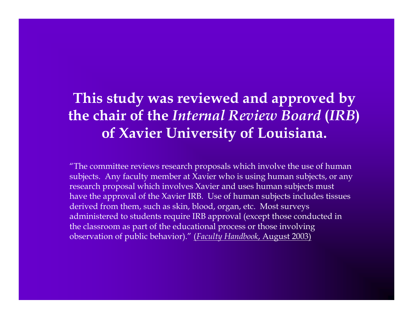#### **This study was reviewed and approved by the chair of the** *Internal Review Board* **(***IRB***) of Xavier University of Louisiana.**

 $\mathrm{^{\prime\prime} The}$  committee reviews research proposals which involve the use of human subjects. Any faculty member at X avier who is using human subjects, or any researc h proposal which involves Xavier and uses human subjects must have the approval of the Xavier IRB. Use of human subjects includes tissues derived from them, such as skin, blood, organ, etc. Most s urveys administered to students require IRB approval (except t hose conducted in the class room as part of the educational process or those involving obs ervation of public behavior)." (*Faculty Han dbook*, August 2003)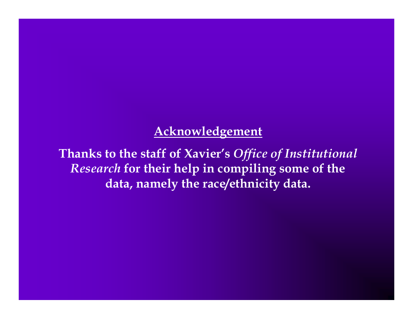#### **Acknowledgement**

**Thanks to the staff of Xavier's** *Office of Institutional Research* **for their help in compiling some of the data, namely the race/ethnicity data.**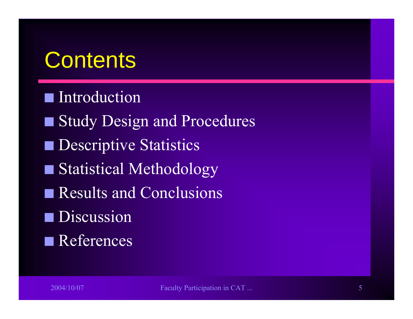#### **Contents**

#### **Introduction**

- Study Design and Procedures
- **Descriptive Statistics**
- Statistical Methodology
- Results and Conclusions
- **D** Discussion
- $\blacksquare$  References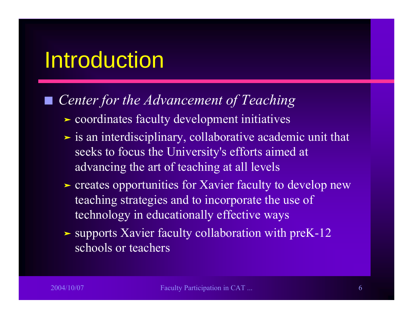#### Introduction

#### $\mathcal{L}_{\mathcal{A}}$ *Center for the Advancement of Teaching*

- ³ coordinates faculty development initiatives
- $\triangleright$  is an interdisciplinary, collaborative academic unit that seeks to focus the University's efforts aimed at advancing the art of teaching at all levels
- riangleright creates opportunities for Xavier faculty to develop new teaching strategies and to incorporate the use of technology in educationally effective ways
- In supports Xavier faculty collaboration with preK-12 schools or teachers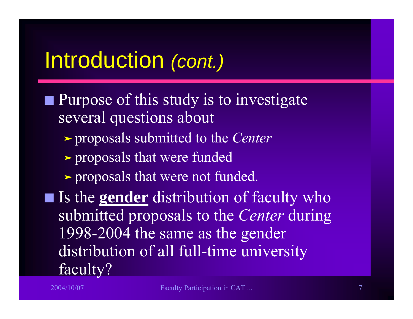#### Introduction *(cont.)*

- Purpose of this study is to investigate several questions about
	- ³ proposals submitted to the *Center*
	- > proposals that were funded
	- riangleright proposals that were not funded.
- **Some Is the <u>gender</u>** distribution of faculty who submitted proposals to the *Center* during 1998-2004 the same as the gender distribution of all full-time university faculty?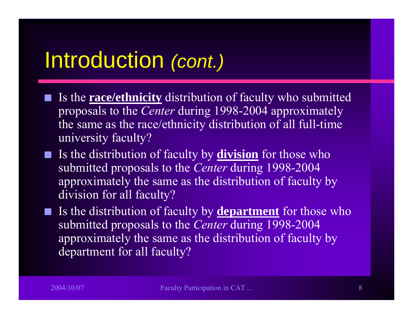#### Introduction *(cont.)*

- Is the **race/ethnicity** distribution of faculty who submitted proposals to the *Center* during 1998-2004 approximately the same as the race/ethnicity distribution of all full-time university faculty?
- **Solutary** Is the distribution of faculty by **division** for those who submitted proposals to the *Center* during 1998-2004 approximately the same as the distribution of faculty by division for all faculty?
- **Solutary** Is the distribution of faculty by **department** for those who submitted proposals to the *Center* during 1998-2004 approximately the same as the distribution of faculty by department for all faculty?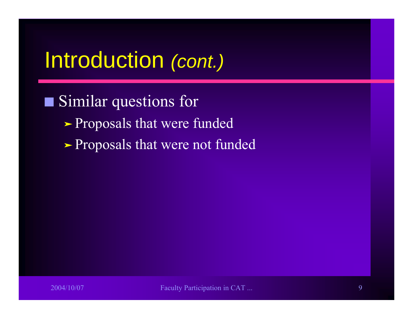#### Introduction *(cont.)*

**Q**  Similar questions for **>Proposals that were funded** > Proposals that were not funded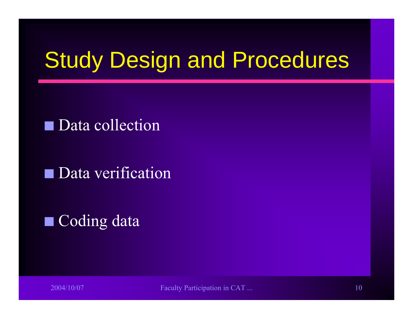## Study Design and Procedures

Data collection

QData verification

 $\blacksquare$  Coding data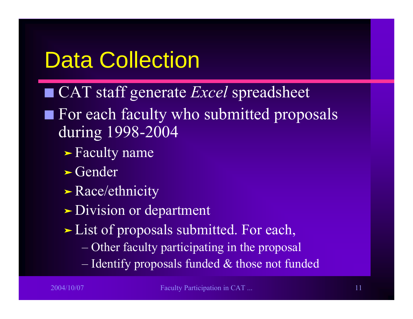### Data Collection

- CAT staff generate *Excel* spreadsheet
- $\blacksquare$  For each faculty who submitted proposals during 1998-2004
	- > Faculty name
	- $\blacktriangleright$  Gender
	- $\blacktriangleright$  Race/ethnicity
	- > Division or department
	- > List of proposals submitted. For each,
		- Other faculty participating in the proposal
		- Identify proposals funded & those not funded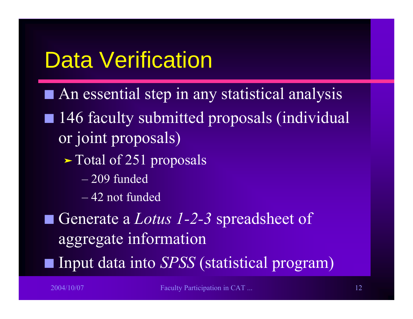### Data Verification

- $\blacksquare$  An essential step in any statistical analysis
- 146 faculty submitted proposals (individual or joint proposals)
	- riangleright Total of 251 proposals
		- 209 funded
		- 42 not funded
- Generate a *Lotus 1-2-3* spreadsheet of aggregate information
- Input data into *SPSS* (statistical program)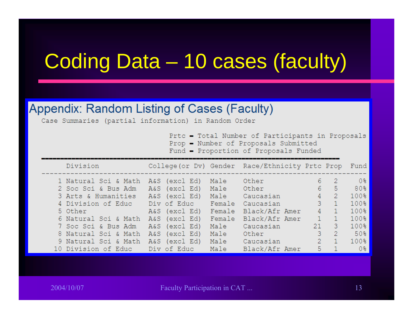#### Coding Data – 10 cases (faculty)

#### Appendix: Random Listing of Cases (Faculty)

Case Summaries (partial information) in Random Order

Prtc - Total Number of Participants in Proposals

Prop - Number of Proposals Submitted

Fund - Proportion of Proposals Funded

| Division                       |               |        | College (or Dv) Gender Race/Ethnicity Prtc Prop |                |                | Fund             |
|--------------------------------|---------------|--------|-------------------------------------------------|----------------|----------------|------------------|
| 1 Natural Sci & Math           | A&S (excl Ed) | Male   | Other                                           | 6              | -2             | 0 <sup>8</sup>   |
| 2 Soc Sci & Bus Adm            | A&S (excl Ed) |        | Male Other                                      | 6              | 5              | 80%              |
| 3 Arts & Humanities            | A&S (excl Ed) | Male   | Caucasian                                       | $4 -$          | 2              | 100 <sub>8</sub> |
| 4 Division of Educ Div of Educ |               | Female | Caucasian                                       | $3 -$          | $\blacksquare$ | 100 <sub>8</sub> |
| 5 Other                        | A&S (excl Ed) | Female | Black/Afr Amer                                  | 4              | $\vert$ 1      | 100%             |
| 6 Natural Sci & Math           | A&S (excl Ed) | Female | Black/Afr Amer                                  | $\mathbf{1}$   | $\Box$         | 100 <sub>8</sub> |
| 7 Soc Sci & Bus Adm            | A&S (excl Ed) | Male   | Caucasian                                       | $21 -$         | -3.            | 100 <sup>8</sup> |
| 8 Natural Sci & Math           | A&S (excl Ed) | Male   | Other                                           | 3              | -2.            | 50 <sub>8</sub>  |
| 9 Natural Sci & Math           | A&S (excl Ed) | Male   | Caucasian                                       | $\overline{2}$ | $\vert$ 1      | 100 <sub>8</sub> |
| 10 Division of Educ            | Div of Educ   | Male   | Black/Afr Amer                                  | 5.             | $\sim$ 1       | 0 <sup>8</sup>   |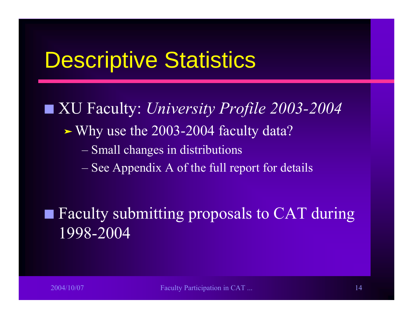#### Descriptive Statistics

■ XU Faculty: *University Profile 2003-2004*  $\blacktriangleright$  Why use the 2003-2004 faculty data? – Small changes in distributions – See Appendix A of the full report for details

 Faculty submitting proposals to CAT during 1998-2004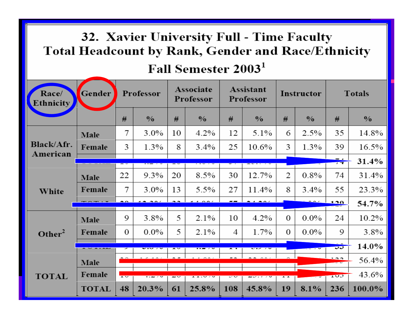#### 32. Xavier University Full - Time Faculty Total Headcount by Rank, Gender and Race/Ethnicity<br>Fall Semester  $2003<sup>1</sup>$

| Race/<br>Ethnicity     | Gender       |                  | Professor     |    | Associate<br>Professor |            | Assistant<br>Professor   |                | Instructor    | <b>Totals</b>              |               |
|------------------------|--------------|------------------|---------------|----|------------------------|------------|--------------------------|----------------|---------------|----------------------------|---------------|
|                        |              | #                | $\frac{0}{0}$ | #  | $\frac{0}{0}$          | #          | $\frac{0}{0}$            | #              | $\frac{0}{0}$ | #                          | $\frac{0}{0}$ |
|                        | Male         | 7                | $3.0\%$       | 10 | 4.2%                   | 12         | 5.1%                     | 6              | 2.5%          | 35                         | 14.8%         |
| Black/Afr.<br>American | Female       | 3                | $1.3\%$       | 8  | $3.4\%$                | 25         | 10.6%                    | 3              | 1.3%          | 39                         | 16.5%         |
|                        |              |                  |               |    |                        |            |                          |                |               | $ \cdot$<br>$\overline{1}$ | 31.4%         |
|                        | Male         | 22               | 9.3%          | 20 | 8.5%                   | 30         | 12.7%                    | 2              | $0.8\%$       | 74                         | 31.4%         |
| White                  | Female       | 7                | $3.0\%$       | 13 | 5.5%                   | 27         | 11.4%                    | 8              | $3.4\%$       | 55                         | 23.3%         |
|                        |              |                  |               |    |                        |            |                          |                |               | 120                        | 54.7%         |
|                        | Male         | 9                | 3.8%          | 5  | 2.1%                   | 10         | 4.2%                     | $\theta$       | $0.0\%$       | 24                         | 10.2%         |
| Other <sup>2</sup>     | Female       | $\boldsymbol{0}$ | $0.0\%$       | 5  | 2.1%                   | 4          | 1.7%                     | 0              | $0.0\%$       | 9                          | 3.8%          |
|                        |              |                  |               | ≖  |                        | <b>A I</b> | $\overline{\phantom{a}}$ |                |               | ಀಀ                         | 14.0%         |
|                        | Male         |                  |               |    |                        |            |                          |                |               | $\overline{\phantom{a}}$   | 56.4%         |
| <b>TOTAL</b>           | Female       | $\overline{1}$   | T.∠ ⁄ ∪       | J  | 11.V                   | ー          |                          | $\overline{1}$ |               | 1 <sub>UJ</sub>            | 43.6%         |
|                        | <b>TOTAL</b> | 48               | $20.3\%$      | 61 | 25.8%                  | 108        | 45.8%                    | 19             | 8.1%          | 236                        | 100.0%        |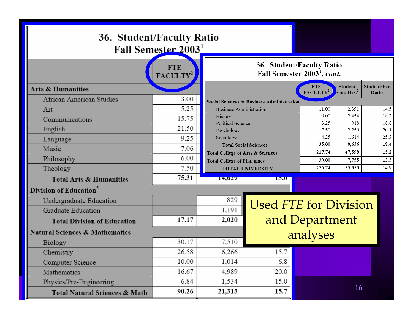| 36. Student/Faculty Ratio<br>Fall Semester 20031 |       |                                  |                                                                      |                                    |                                          |                                    |  |  |  |  |
|--------------------------------------------------|-------|----------------------------------|----------------------------------------------------------------------|------------------------------------|------------------------------------------|------------------------------------|--|--|--|--|
|                                                  |       |                                  | 36. Student/Faculty Ratio<br>Fall Semester 2003 <sup>1</sup> , cont. |                                    |                                          |                                    |  |  |  |  |
| <b>Arts &amp; Humanities</b>                     |       |                                  |                                                                      | <b>FTE</b><br>FACULTY <sup>2</sup> | <b>Student</b><br>Sem. Hrs. <sup>3</sup> | Student/Fac.<br>Ratio <sup>4</sup> |  |  |  |  |
| African American Studies                         | 3.00  |                                  | <b>Social Sciences &amp; Business Administration</b>                 |                                    |                                          |                                    |  |  |  |  |
| Art                                              | 5.25  |                                  | <b>Business Administration</b>                                       |                                    |                                          | 14.5                               |  |  |  |  |
| Communications                                   | 15.75 | History                          |                                                                      | 9.00                               | 2,454                                    | 18.2                               |  |  |  |  |
|                                                  | 21.50 | Political Science                |                                                                      | 3.25                               | 918                                      | 18.8                               |  |  |  |  |
| English                                          |       | Psychology                       |                                                                      | 7.50<br>4.25                       | 2,259<br>1,614                           | 20.1<br>25.3                       |  |  |  |  |
| Language                                         | 9.25  | Sociology                        | <b>Total Social Sciences</b>                                         | 35.00                              | 9,636                                    | 18.4                               |  |  |  |  |
| Music                                            | 7.06  |                                  | Total College of Arts & Sciences                                     | 217.74                             | 47,598                                   | 15.2                               |  |  |  |  |
| Philosophy                                       | 6.00  | <b>Total College of Pharmacy</b> |                                                                      | 39.00                              | 7,755                                    | 13.3                               |  |  |  |  |
| Theology                                         | 7.50  |                                  | <b>TOTAL UNIVERSITY</b>                                              | 256.74                             | 55,353                                   | 14.9                               |  |  |  |  |
| <b>Total Arts &amp; Humanities</b>               | 75.31 | 14,629                           | 13.0                                                                 |                                    |                                          |                                    |  |  |  |  |
| Division of Education <sup>5</sup>               |       |                                  |                                                                      |                                    |                                          |                                    |  |  |  |  |
| Undergraduate Education                          |       | 829                              |                                                                      | <b>Used FTE for Division</b>       |                                          |                                    |  |  |  |  |
| Graduate Education                               |       | 1,191                            |                                                                      |                                    |                                          |                                    |  |  |  |  |
| <b>Total Division of Education</b>               | 17.17 | 2,020                            |                                                                      | and Department                     |                                          |                                    |  |  |  |  |
| <b>Natural Sciences &amp; Mathematics</b>        |       |                                  |                                                                      | analyses                           |                                          |                                    |  |  |  |  |
| Biology                                          | 30.17 | 7,510                            |                                                                      |                                    |                                          |                                    |  |  |  |  |
| Chemistry                                        | 26.58 | 6,266                            | 15.7                                                                 |                                    |                                          |                                    |  |  |  |  |
| Computer Science                                 | 10.00 | 1,014                            | 6.8                                                                  |                                    |                                          |                                    |  |  |  |  |
| Mathematics                                      | 16.67 | 4,989                            | 20.0                                                                 |                                    |                                          |                                    |  |  |  |  |
| Physics/Pre-Engineering                          | 6.84  | 1,534                            | 15.0                                                                 |                                    |                                          |                                    |  |  |  |  |
| Total Natural Sciences & Math                    | 90.26 | 21,313                           | 15.7                                                                 |                                    | 16                                       |                                    |  |  |  |  |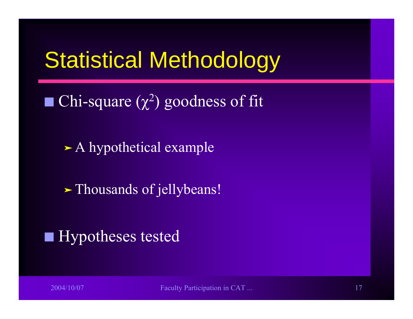#### Statistical Methodology

- $\blacksquare$  Chi-square  $(\chi^2)$  goodness of fit
	- $\blacktriangleright$  A hypothetical example
	- > Thousands of jellybeans!

#### $\blacksquare$  Hypotheses tested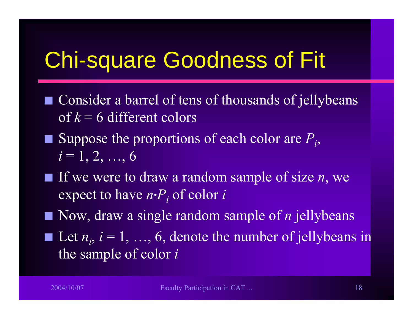### Chi-square Goodness of Fit

- $\Box$  Consider a barrel of tens of thousands of jellybeans of *k* = 6 different colors
- $\blacksquare$  Suppose the proportions of each color are  $P_i$ ,  $i = 1, 2, ..., 6$
- If we were to draw a random sample of size *n*, we expect to have *n* **.** *Pi* of color *i*
- Now, draw a single random sample of *n* jellybeans
- $\mathcal{L}_{\mathcal{A}}$  $\blacksquare$  Let  $n_i$ ,  $i = 1, ..., 6$ , denote the number of jellybeans in the sample of color *i*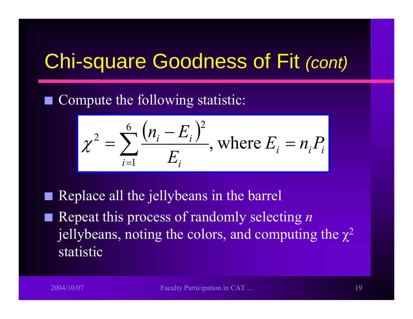#### Chi-square Goodness of Fit *(cont)*

 $\mathcal{L}_{\mathcal{A}}$ Compute the following statistic:

$$
\chi^2 = \sum_{i=1}^{6} \frac{(n_i - E_i)^2}{E_i}
$$
, where  $E_i = n_i P_i$ 

Replace all the jellybeans in the barrel

■ Repeat this process of randomly selecting *n* jellybeans, noting the colors, and computing the  $\chi^2$ statistic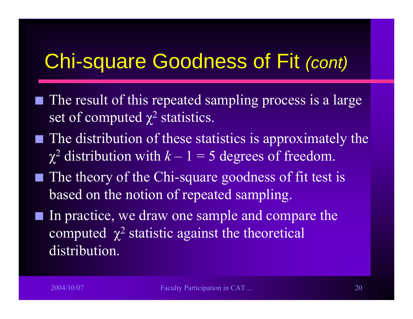#### Chi-square Goodness of Fit *(cont)*

- $\blacksquare$  The result of this repeated sampling process is a large set of computed  $\chi^2$  statistics.
- $\blacksquare$  The distribution of these statistics is approximately the  $\chi^2$  distribution with  $k-1=5$  degrees of freedom.
- $\blacksquare$  The theory of the Chi-square goodness of fit test is based on the notion of repeated sampling.
- In practice, we draw one sample and compare the computed  $\chi^2$  statistic against the theoretical distribution.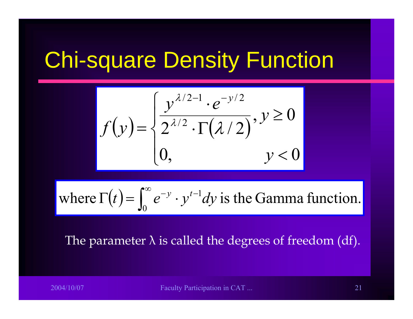#### Chi-square Density Function

$$
f(y) = \begin{cases} \frac{y^{\lambda/2 - 1} \cdot e^{-y/2}}{2^{\lambda/2} \cdot \Gamma(\lambda/2)}, y \ge 0\\ 0, \qquad y < 0 \end{cases}
$$

where 
$$
\Gamma(t) = \int_0^\infty e^{-y} \cdot y^{t-1} dy
$$
 is the Gamma function.

#### The parameter  $\lambda$  is called the degrees of freedom (df).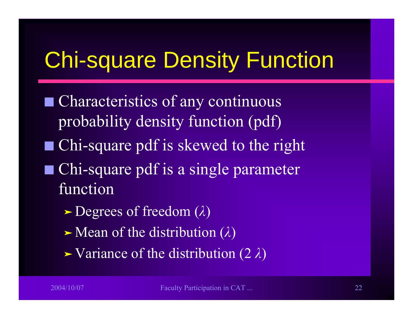## Chi-square Density Function

- $\blacksquare$  Characteristics of any continuous probability density function (pdf)
- $\blacksquare$  Chi-square pdf is skewed to the right
- $\blacksquare$  Chi-square pdf is a single parameter function
	- $\blacktriangleright$ Degrees of freedom (*λ* )
	- $\blacktriangleright$ Mean of the distribution (*λ* )
	- ³ Variance of the distribution (2 *λ* )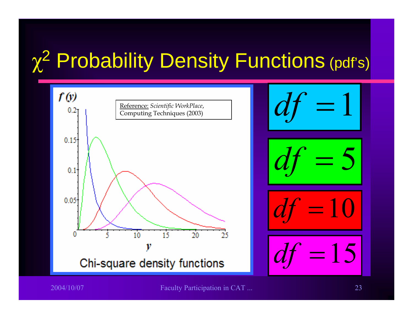### <sup>χ</sup><sup>2</sup> Probability Density Functions (pdf's)

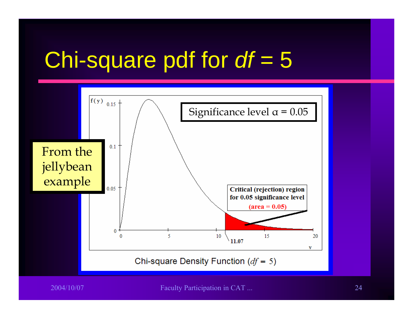# Chi-square pdf for *df* = 5

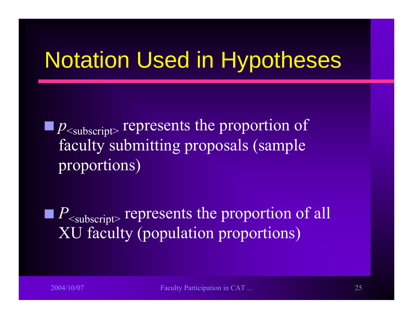### Notation Used in Hypotheses

Q  $p_{\text{subscript}}$  represents the proportion of faculty submitting proposals (sample proportions)

Q  $P_{\text{subscript}}$  represents the proportion of all XU faculty (population proportions)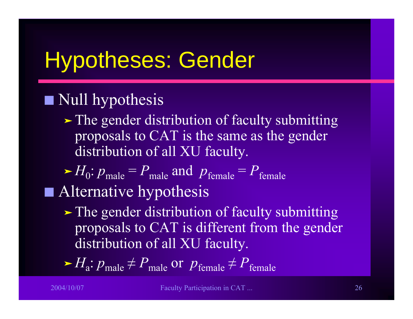# Hypotheses: Gender

#### $\blacksquare$  Null hypothesis

 $\blacktriangleright$  The gender distribution of faculty submitting proposals to CAT is the same as the gender distribution of all XU faculty.

 $\blacktriangleright H_0: p_{\text{male}} = P_{\text{male}}$  and  $p_{\text{female}} = P_{\text{female}}$  $\blacksquare$  Alternative hypothesis

If The gender distribution of faculty submitting proposals to CAT is different from the gender distribution of all XU faculty.

 $\triangleright H_a: p_{\text{male}} \neq P_{\text{male}} \text{ or } p_{\text{female}} \neq P_{\text{female}}$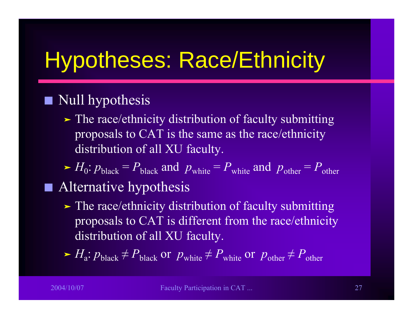# Hypotheses: Race/Ethnicity

#### **Contract** Null hypothesis

If The race/ethnicity distribution of faculty submitting proposals to CAT is the same as the race/ethnicity distribution of all XU faculty.

 $\blacktriangleright H_0: p_{\text{black}} = P_{\text{black}}$  and  $p_{\text{white}} = P_{\text{white}}$  and  $p_{\text{other}} = P_{\text{other}}$  $\blacksquare$  Alternative hypothesis

If The race/ethnicity distribution of faculty submitting proposals to CAT is different from the race/ethnicity distribution of all XU faculty.

 $\blacktriangleright H_a: p_{black} \neq P_{black}$  or  $p_{white} \neq P_{white}$  or  $p_{other} \neq P_{other}$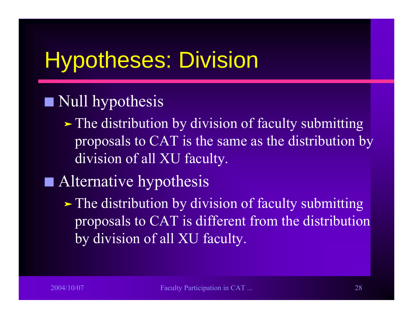# Hypotheses: Division

#### $\blacksquare$  Null hypothesis

- $\blacktriangleright$  The distribution by division of faculty submitting proposals to CAT is the same as the distribution by division of all XU faculty.
- $\blacksquare$  Alternative hypothesis
	- $\blacktriangleright$  The distribution by division of faculty submitting proposals to CAT is different from the distribution by division of all XU faculty.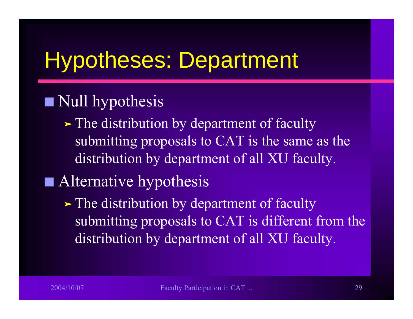### Hypotheses: Department

#### $\blacksquare$  Null hypothesis

If The distribution by department of faculty submitting proposals to CAT is the same as the distribution by department of all XU faculty.

#### $\blacksquare$  Alternative hypothesis

If The distribution by department of faculty submitting proposals to CAT is different from the distribution by department of all XU faculty.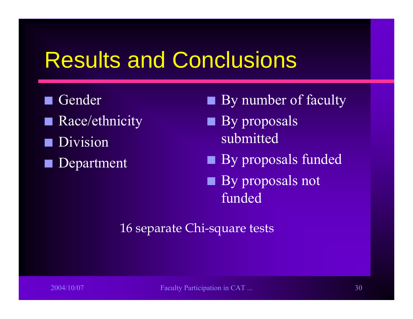#### Results and Conclusions

- $\mathcal{L}_{\mathcal{A}}$  Gender  $\Box$  Race/ethnicity Division
- Department
- $\blacksquare$  By number of faculty
- $\blacksquare$  By proposals submitted
- By proposals funded
- By proposals not funded

16 separate Chi-square tests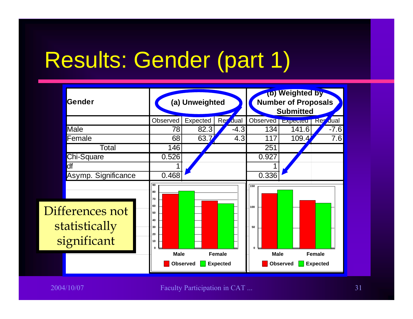# Results: Gender (part 1)

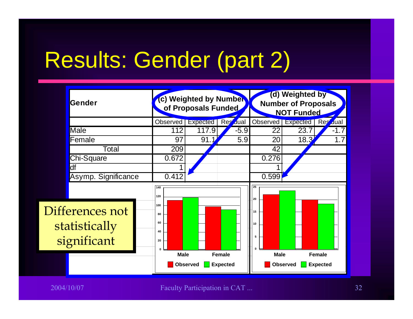# Results: Gender (part 2)

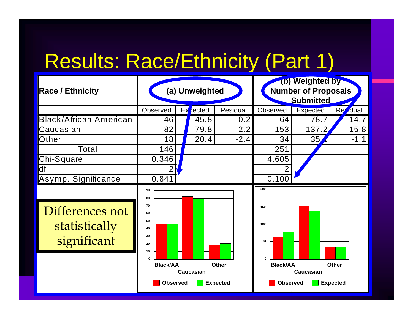#### Results: Race/Ethnicity (Part 1)

| <b>Race / Ethnicity</b>                         |                                                                       | (a) Unweighted   |                 | (b) Weighted by<br><b>Number of Proposals</b><br><b>Submitted</b> |                  |                |  |
|-------------------------------------------------|-----------------------------------------------------------------------|------------------|-----------------|-------------------------------------------------------------------|------------------|----------------|--|
|                                                 | <b>Observed</b>                                                       | $Ex$ bected      | <b>Residual</b> | <b>Observed</b>                                                   | <b>Expected</b>  | <b>Re</b> dual |  |
| <b>Black/African American</b>                   | 46                                                                    | 45.8             | 0.2             | 64                                                                | 78.7             | $-14.7$        |  |
| Caucasian                                       | 82                                                                    | 79.8             | 2.2             | 153                                                               | 137.2            | 15.8           |  |
| Other                                           | 18                                                                    | 20.4             | $-2.4$          | 34                                                                | 35               | $-1.1$         |  |
| Total                                           | 146                                                                   |                  |                 | 251                                                               |                  |                |  |
| Chi-Square                                      | 0.346                                                                 |                  |                 | 4.605                                                             |                  |                |  |
| df                                              | 2                                                                     |                  |                 | 2                                                                 |                  |                |  |
| Asymp. Significance                             | 0.841                                                                 |                  |                 | 0.100                                                             |                  |                |  |
| Differences not<br>statistically<br>significant | 90<br>80<br>70<br>60<br>50<br>40<br>30<br>20<br>10<br><b>Black/AA</b> | <b>Caucasian</b> | <b>Other</b>    | 200<br>150<br>100<br>50<br>$\Omega$<br><b>Black/AA</b>            | <b>Caucasian</b> | <b>Other</b>   |  |
|                                                 | <b>Expected</b><br><b>Observed</b>                                    |                  |                 | <b>Observed</b>                                                   | <b>Expected</b>  |                |  |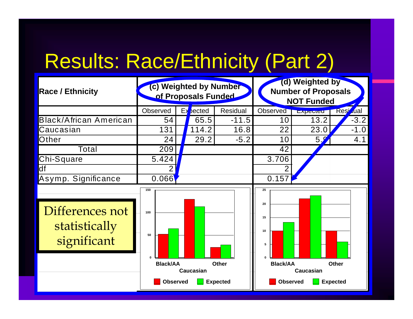#### Results: Race/Ethnicity (Part 2)

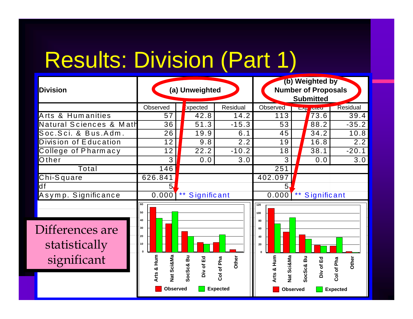# Results: Division (Part 1)

| <b>Division</b>                                 |                                                                                            | (a) Unweighted              |                                        | (b) Weighted by<br><b>Number of Proposals</b><br><b>Submitted</b>                 |                                                                  |     |  |
|-------------------------------------------------|--------------------------------------------------------------------------------------------|-----------------------------|----------------------------------------|-----------------------------------------------------------------------------------|------------------------------------------------------------------|-----|--|
|                                                 | Observed                                                                                   | <b>Expected</b>             | Residual                               | Observed                                                                          | Residual<br><b>LAY ANGU</b>                                      |     |  |
| Arts & Humanities                               | 57                                                                                         | 42.8                        | 14.2                                   | 113                                                                               | 73.6<br>39.4                                                     |     |  |
| Natural Sciences & Math                         | 36                                                                                         | 51.3                        | $-15.3$                                | 53                                                                                | 88.2<br>$-35.2$                                                  |     |  |
| Soc.Sci. & Bus.Adm.                             | 26                                                                                         | 19.9                        | 6.1                                    | 45                                                                                | 10.8<br>34.2                                                     |     |  |
| Division of Education                           | 12                                                                                         | 9.8                         | 2.2                                    | 19                                                                                | 16.8                                                             | 2.2 |  |
| College of Pharmacy                             | 12                                                                                         | 22.2                        | $-10.2$                                | 18                                                                                | $-20.1$<br>38.1                                                  |     |  |
| Other                                           | 3                                                                                          | 0.0                         | 3.0                                    | 3                                                                                 | 0.0                                                              | 3.0 |  |
| Total                                           | 146                                                                                        |                             |                                        | $\overline{251}$                                                                  |                                                                  |     |  |
| Chi-Square                                      | 626.841                                                                                    |                             |                                        | 402.097                                                                           |                                                                  |     |  |
| df                                              | 5,                                                                                         |                             |                                        | 5                                                                                 |                                                                  |     |  |
| Asymp. Significance                             | 0.000                                                                                      | $\star\star$<br>Significant |                                        | 0.000                                                                             | $\star\,\star$<br>Significant                                    |     |  |
| Differences are<br>statistically<br>significant | 60<br>50<br>40<br>30<br>20<br>10<br><b>Nat Sci&amp;Ma</b><br>Arts & Hum<br><b>Observed</b> | SocSc& Bu<br>Div of Ed      | Other<br>Col of Pha<br><b>Expected</b> | 120<br>100<br>80<br>60<br>40<br>20<br>Arts & Hum<br>Nat Sci&Ma<br><b>Observed</b> | SocSc& Bu<br>Div of Ed<br>Other<br>Col of Pha<br><b>Expected</b> |     |  |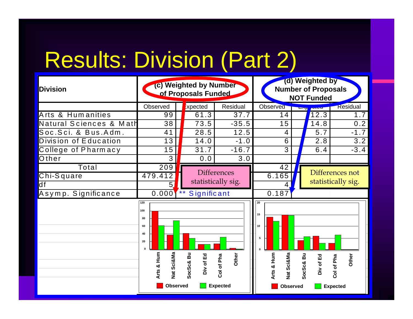# Results: Division (Part 2)

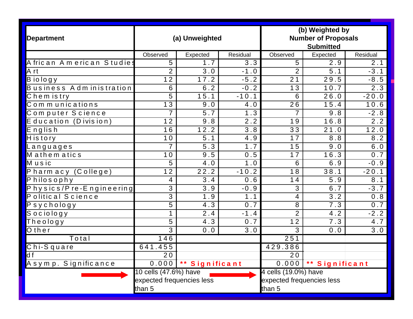| <b>Department</b>                  |                                                              | (a) Unweighted           |                  | (b) Weighted by<br><b>Number of Proposals</b><br><b>Submitted</b> |                  |                  |
|------------------------------------|--------------------------------------------------------------|--------------------------|------------------|-------------------------------------------------------------------|------------------|------------------|
|                                    | Observed                                                     | Expected                 | Residual         | Observed                                                          | Expected         | Residual         |
| African American Studies           | 5                                                            | 1.7                      | $\overline{3.3}$ | $\overline{5}$                                                    | $\overline{2.9}$ | 2.1              |
| A rt                               | $\overline{2}$                                               | 3.0                      | $-1.0$           | $\overline{2}$                                                    | 5.1              | $-3.1$           |
| Biology                            | $\overline{12}$                                              | 17.2                     | $-5.2$           | $\overline{21}$                                                   | 29.5             | $-8.5$           |
| Business Administration            | 6                                                            | 6.2                      | $-0.2$           | 13                                                                | 10.7             | $\overline{2.3}$ |
| $\overline{\textsf{C}}$ hem is try | 5                                                            | 15.1                     | $-10.1$          | 6                                                                 | 26.0             | $-20.0$          |
| Communications                     | 13                                                           | 9.0                      | 4.0              | $\overline{26}$                                                   | 15.4             | 10.6             |
| Computer Science                   | $\overline{7}$                                               | $5.7$                    | 1.3              | $\overline{7}$                                                    | 9.8              | $-2.8$           |
| Education (Division)               | 12                                                           | 9.8                      | 2.2              | 19                                                                | 16.8             | 2.2              |
| English                            | 16                                                           | 12.2                     | 3.8              | 33                                                                | 21.0             | 12.0             |
| $H$ is to ry                       | 10                                                           | $\overline{5.1}$         | 4.9              | 17                                                                | 8.8              | 8.2              |
| Languages                          | $\overline{7}$                                               | 5.3                      | 1.7              | 15                                                                | 9.0              | 6.0              |
| Mathematics                        | 10                                                           | 9.5                      | 0.5              | 17                                                                | 16.3             | 0.7              |
| $\overline{\mathsf{M}}$ usic       | 5                                                            | 4.0                      | 1.0              | 6                                                                 | 6.9              | $-0.9$           |
| Pharmacy (College)                 | 12                                                           | 22.2                     | $-10.2$          | 18                                                                | 38.1             | $-20.1$          |
| Philosophy                         | 4                                                            | 3.4                      | 0.6              | 14                                                                | 5.9              | 8.1              |
| Physics/Pre-Engineering            | $\overline{3}$                                               | 3.9                      | $-0.9$           | $\overline{3}$                                                    | 6.7              | $-3.7$           |
| Political Science                  | $\overline{3}$                                               | 1.9                      | 1.1              | 4                                                                 | 3.2              | 0.8              |
| Psychology                         | 5                                                            | $\overline{4.3}$         | 0.7              | $\overline{8}$                                                    | $\overline{7.3}$ | 0.7              |
| Sociology                          | $\mathbf 1$                                                  | 2.4                      | $-1.4$           | $\overline{2}$                                                    | 4.2              | $-2.2$           |
| Theology                           | $\overline{5}$                                               | 4.3                      | 0.7              | 12                                                                | 7.3              | 4.7              |
| Other                              | $\overline{3}$                                               | 0.0                      | 3.0              | 3                                                                 | 0.0              | 3.0              |
| Total                              | 146                                                          |                          |                  | 251                                                               |                  |                  |
| Chi-Square                         | 641.455                                                      |                          |                  | 429.386                                                           |                  |                  |
| $\overline{d}$ f                   | 20 <sub>o</sub>                                              |                          |                  | 20                                                                |                  |                  |
| Asymp. Significance                |                                                              | $0.000$   ** Significant |                  | 0.000<br>** Significant                                           |                  |                  |
|                                    | 10 cells (47.6%) have<br>expected frequencies less<br>than 5 |                          |                  | 4 cells (19.0%) have<br>expected frequencies less<br>than 5       |                  |                  |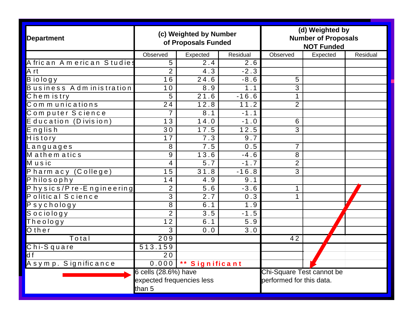| <b>Department</b>                                        |                           | (c) Weighted by Number<br>of Proposals Funded |          | (d) Weighted by<br><b>Number of Proposals</b><br><b>NOT Funded</b> |          |          |
|----------------------------------------------------------|---------------------------|-----------------------------------------------|----------|--------------------------------------------------------------------|----------|----------|
|                                                          | Observed                  | Expected                                      | Residual | Observed                                                           | Expected | Residual |
| African American Studies                                 | 5                         | 2.4                                           | 2.6      |                                                                    |          |          |
| A rt                                                     | $\overline{2}$            | 4.3                                           | $-2.3$   |                                                                    |          |          |
| $\overline{B}$ io logy                                   | 16                        | 24.6                                          | $-8.6$   | 5                                                                  |          |          |
| Business Administration                                  | 10                        | 8.9                                           | 1.1      | 3                                                                  |          |          |
| $\overline{\text{C}}$ hem is try                         | 5                         | 21.6                                          | $-16.6$  | $\mathbf 1$                                                        |          |          |
| Communications                                           | 24                        | 12.8                                          | 11.2     | $\overline{2}$                                                     |          |          |
| Computer Science                                         | 7                         | 8.1                                           | $-1.1$   |                                                                    |          |          |
| Education (Division)                                     | 13                        | 14.0                                          | $-1.0$   | 6                                                                  |          |          |
| English                                                  | $\overline{30}$           | 17.5                                          | 12.5     | 3                                                                  |          |          |
| History                                                  | 17                        | 7.3                                           | 9.7      |                                                                    |          |          |
| Languages                                                | 8                         | 7.5                                           | 0.5      | $\overline{7}$                                                     |          |          |
| Mathematics                                              | 9                         | 13.6                                          | $-4.6$   | 8                                                                  |          |          |
| Music                                                    | 4                         | 5.7                                           | $-1.7$   | $\overline{2}$                                                     |          |          |
| Pharmacy (College)                                       | 15                        | 31.8                                          | $-16.8$  | 3                                                                  |          |          |
| Philosophy                                               | 14                        | 4.9                                           | 9.1      |                                                                    |          |          |
| Physics/Pre-Engineering                                  | $\overline{2}$            | 5.6                                           | $-3.6$   |                                                                    |          |          |
| Political Science                                        | $\overline{3}$            | $\overline{2.7}$                              | 0.3      | $\mathbf 1$                                                        |          |          |
| $PS$ y chology                                           | 8                         | 6.1                                           | 1.9      |                                                                    |          |          |
| Sociology                                                | $\overline{2}$            | 3.5                                           | $-1.5$   |                                                                    |          |          |
| $\overline{\textsf{The} \, \textsf{olo} \, \textsf{gy}}$ | 12                        | 6.1                                           | 5.9      |                                                                    |          |          |
| $\overline{O}$ then                                      | 3                         | 0.0                                           | 3.0      |                                                                    |          |          |
| Total                                                    | 209                       |                                               |          | 42                                                                 |          |          |
| Chi-Square                                               | 513.159                   |                                               |          |                                                                    |          |          |
| df                                                       | 20                        |                                               |          |                                                                    |          |          |
| Asymp. Significance                                      | 0.000                     | ** Significant                                |          |                                                                    |          |          |
|                                                          | 6 cells (28.6%) have      |                                               |          | Chi-Square Test cannot be                                          |          |          |
|                                                          | expected frequencies less |                                               |          | performed for this data.                                           |          |          |
|                                                          | than 5                    |                                               |          |                                                                    |          |          |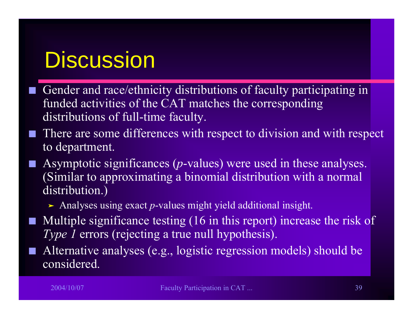#### **Discussion**

- $\mathcal{L}_{\mathcal{A}}$ ■ Gender and race/ethnicity distributions of faculty participating in funded activities of the CAT matches the corresponding distributions of full-time faculty.
- Q There are some differences with respect to division and with respect to department.
- Q Asymptotic significances (*p*-values) were used in these analyses. (Similar to approximating a binomial distribution with a normal distribution.)
	- > Analyses using exact *p*-values might yield additional insight.
- $\blacksquare$  Multiple significance testing (16 in this report) increase the risk of *Type 1* errors (rejecting a true null hypothesis).
- Q Alternative analyses (e.g., logistic regression models) should be considered.